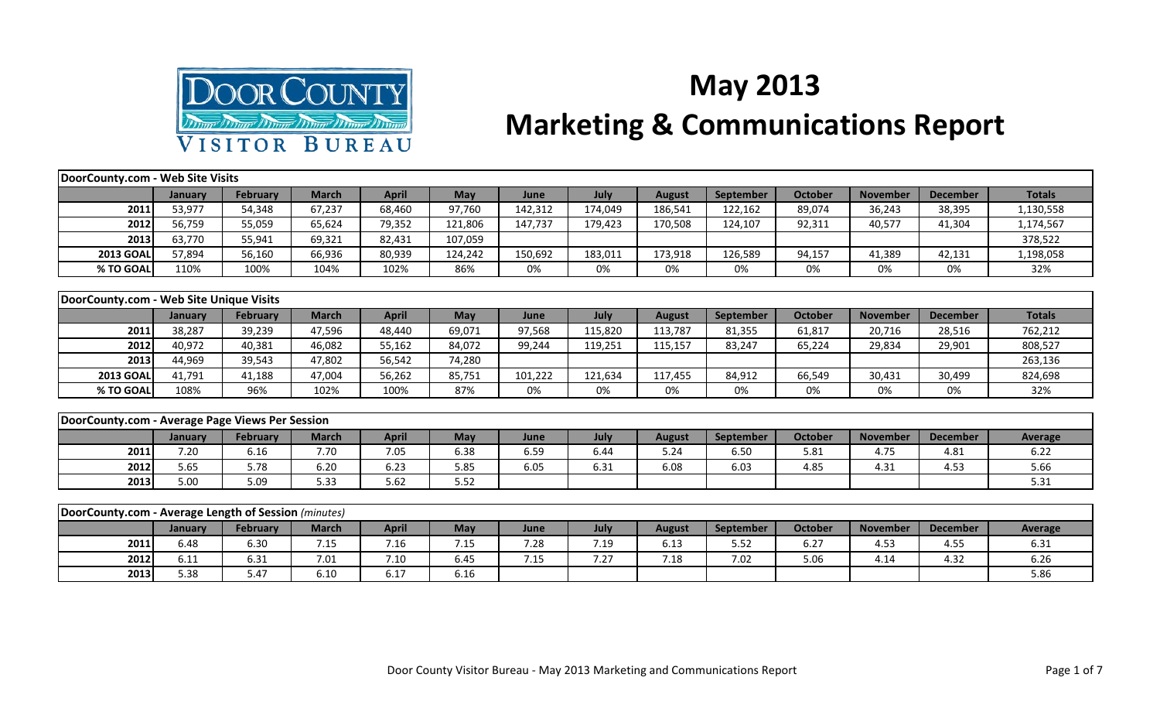

## **May 2013 Marketing & Communications Report**

## **January February March April May June July August September October November December Totals 2011**| 53,977 | 54,348 | 67,237 | 68,460 | 97,760 | 142,312 | 174,049 | 186,541 | 122,162 | 89,074 | 36,243 | 38,395 | 1,130,558 **2012** 56,759 | 55,059 | 65,624 | 79,352 | 121,806 | 147,737 | 179,423 | 170,508 | 124,107 | 92,311 | 40,577 | 41,304 | 1,174,567 **2013** 63,770 55,941 69,321 82,431 107,059 378,522 378,522 378,522 378,522 **2013 GOAL** 57,894 | 56,160 | 66,936 | 80,939 | 124,242 | 150,692 | 183,011 | 173,918 | 126,589 | 94,157 | 41,389 | 42,131 | 1,198,058 **% TO GOAL** 110% 100% 104% 102% 86% 0% 0% 0% 0% 0% 0% 0% 32% **January February March April May June July August September October November December Totals 2011**| 38,287 | 39,239 | 47,596 | 48,440 | 69,071 | 97,568 | 115,820 | 113,787 | 81,355 | 61,817 | 20,716 | 28,516 | 762,212 **2012** 40,972 | 40,381 | 46,082 | 55,162 | 84,072 | 99,244 | 119,251 | 115,157 | 83,247 | 65,224 | 29,834 | 29,901 | 808,527 **2013** 44,969 39,543 47,802 56,542 74,280 263,136 **2013 GOAL** 41,791 | 41,188 | 47,004 | 56,262 | 85,751 | 101,222 | 121,634 | 117,455 | 84,912 | 66,549 | 30,431 | 30,499 | 824,698 **% TO GOAL** 108% 96% 102% 100% 87% 0% 0% 0% 0% 0% 0% 0% 32% **January February March April May June July August September October November December Average 2011** 7.20 6.16 7.70 7.05 6.38 6.59 6.44 5.24 6.50 5.81 4.75 4.81 6.22 **DoorCounty.com - Web Site Visits DoorCounty.com - Web Site Unique Visits DoorCounty.com - Average Page Views Per Session**

| <b>DoorCounty.com - Average Length of Session</b> (minutes) |         |          |              |              |      |      |      |                      |           |         |                 |                 |                |
|-------------------------------------------------------------|---------|----------|--------------|--------------|------|------|------|----------------------|-----------|---------|-----------------|-----------------|----------------|
|                                                             | January | February | <b>March</b> | <b>April</b> | May  | June | July | August               | September | October | <b>November</b> | <b>December</b> | <b>Average</b> |
| 2011                                                        | 6.48    | 6.30     | 7.15         | 7.16         | 7.15 | 7.28 | 7.19 | <b>C</b> 10<br>0. L3 | 5.52      | 6.27    | 4.53            | 4.55            | 6.31           |
| 2012                                                        | 6.11    | 6.31     | 7.01         | 7.10         | 6.45 | 7.15 | 7.27 | 7.18                 | 7.02      | 5.06    | 4.14            | 4.32            | 6.26           |
| 2013                                                        | 5.38    | 5.47     | 6.10         | 6.17         | 6.16 |      |      |                      |           |         |                 |                 | 5.86           |

**2012** 5.65 5.78 6.20 6.23 5.85 6.05 6.31 6.08 6.03 4.85 4.31 4.53 5.66 **2013** 5.00 5.09 5.33 5.62 5.52 5.52 5.52 5.52 5.52 5.31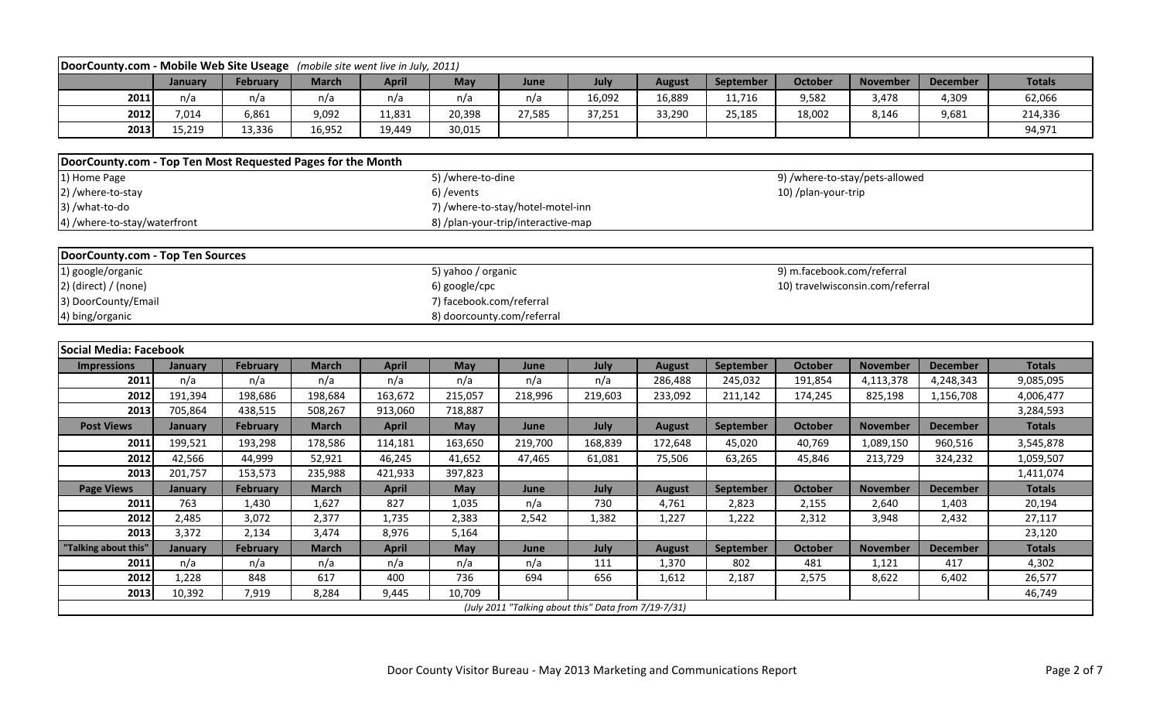| DoorCounty.com - Mobile Web Site Useage (mobile site went live in July, 2011)                                                                                                                                                                                                                                                                                                      |                                                                                                                                                                                           |                 |              |              |                   |                                                      |         |               |           |                                |                 |                 |               |  |  |
|------------------------------------------------------------------------------------------------------------------------------------------------------------------------------------------------------------------------------------------------------------------------------------------------------------------------------------------------------------------------------------|-------------------------------------------------------------------------------------------------------------------------------------------------------------------------------------------|-----------------|--------------|--------------|-------------------|------------------------------------------------------|---------|---------------|-----------|--------------------------------|-----------------|-----------------|---------------|--|--|
|                                                                                                                                                                                                                                                                                                                                                                                    | January                                                                                                                                                                                   | February        | <b>March</b> | <b>April</b> | May               | June                                                 | July    | <b>August</b> | September | <b>October</b>                 | <b>November</b> | <b>December</b> | <b>Totals</b> |  |  |
| 2011                                                                                                                                                                                                                                                                                                                                                                               | n/a                                                                                                                                                                                       | n/a             | n/a          | n/a          | n/a               | n/a                                                  | 16,092  | 16,889        | 11,716    | 9,582                          | 3,478           | 4,309           | 62,066        |  |  |
| 2012                                                                                                                                                                                                                                                                                                                                                                               | 7,014                                                                                                                                                                                     | 6,861           | 9,092        | 11,831       | 20,398            | 27,585                                               | 37,251  | 33,290        | 25,185    | 18,002                         | 8,146           | 9,681           | 214,336       |  |  |
| 2013                                                                                                                                                                                                                                                                                                                                                                               | 15,219                                                                                                                                                                                    | 13,336          | 16,952       | 19,449       | 30,015            |                                                      |         |               |           |                                |                 |                 | 94,971        |  |  |
|                                                                                                                                                                                                                                                                                                                                                                                    |                                                                                                                                                                                           |                 |              |              |                   |                                                      |         |               |           |                                |                 |                 |               |  |  |
| DoorCounty.com - Top Ten Most Requested Pages for the Month                                                                                                                                                                                                                                                                                                                        |                                                                                                                                                                                           |                 |              |              |                   |                                                      |         |               |           |                                |                 |                 |               |  |  |
| 1) Home Page                                                                                                                                                                                                                                                                                                                                                                       |                                                                                                                                                                                           |                 |              |              | 5) /where-to-dine |                                                      |         |               |           | 9) /where-to-stay/pets-allowed |                 |                 |               |  |  |
| 2) /where-to-stay                                                                                                                                                                                                                                                                                                                                                                  |                                                                                                                                                                                           |                 |              |              | 6) / events       |                                                      |         |               |           | 10) /plan-your-trip            |                 |                 |               |  |  |
| 3) /what-to-do                                                                                                                                                                                                                                                                                                                                                                     |                                                                                                                                                                                           |                 |              |              |                   | 7) /where-to-stay/hotel-motel-inn                    |         |               |           |                                |                 |                 |               |  |  |
| 4) /where-to-stay/waterfront                                                                                                                                                                                                                                                                                                                                                       |                                                                                                                                                                                           |                 |              |              |                   | 8) /plan-your-trip/interactive-map                   |         |               |           |                                |                 |                 |               |  |  |
|                                                                                                                                                                                                                                                                                                                                                                                    |                                                                                                                                                                                           |                 |              |              |                   |                                                      |         |               |           |                                |                 |                 |               |  |  |
|                                                                                                                                                                                                                                                                                                                                                                                    |                                                                                                                                                                                           |                 |              |              |                   |                                                      |         |               |           |                                |                 |                 |               |  |  |
| 1) google/organic                                                                                                                                                                                                                                                                                                                                                                  |                                                                                                                                                                                           |                 |              |              |                   |                                                      |         |               |           |                                |                 |                 |               |  |  |
| $2)$ (direct) / (none)                                                                                                                                                                                                                                                                                                                                                             |                                                                                                                                                                                           |                 |              |              | 6) google/cpc     |                                                      |         |               |           |                                |                 |                 |               |  |  |
|                                                                                                                                                                                                                                                                                                                                                                                    | <b>DoorCounty.com - Top Ten Sources</b><br>5) yahoo / organic<br>9) m.facebook.com/referral<br>10) travelwisconsin.com/referral<br>7) facebook.com/referral<br>8) doorcounty.com/referral |                 |              |              |                   |                                                      |         |               |           |                                |                 |                 |               |  |  |
| 4) bing/organic                                                                                                                                                                                                                                                                                                                                                                    |                                                                                                                                                                                           |                 |              |              |                   |                                                      |         |               |           |                                |                 |                 |               |  |  |
|                                                                                                                                                                                                                                                                                                                                                                                    |                                                                                                                                                                                           |                 |              |              |                   |                                                      |         |               |           |                                |                 |                 |               |  |  |
|                                                                                                                                                                                                                                                                                                                                                                                    |                                                                                                                                                                                           |                 |              |              |                   |                                                      |         |               |           |                                |                 |                 |               |  |  |
| 3) DoorCounty/Email<br>Social Media: Facebook<br><b>Totals</b><br>February<br><b>March</b><br><b>April</b><br>May<br>July<br>September<br>October<br><b>November</b><br><b>December</b><br><b>Impressions</b><br>June<br><b>August</b><br>January<br>2011<br>n/a<br>n/a<br>n/a<br>n/a<br>n/a<br>n/a<br>286,488<br>245,032<br>191,854<br>4,113,378<br>4,248,343<br>9,085,095<br>n/a |                                                                                                                                                                                           |                 |              |              |                   |                                                      |         |               |           |                                |                 |                 |               |  |  |
|                                                                                                                                                                                                                                                                                                                                                                                    |                                                                                                                                                                                           |                 |              |              |                   |                                                      |         |               |           |                                |                 |                 |               |  |  |
| 2012                                                                                                                                                                                                                                                                                                                                                                               | 191,394                                                                                                                                                                                   | 198,686         | 198,684      | 163,672      | 215,057           | 218,996                                              | 219,603 | 233,092       | 211,142   | 174,245                        | 825,198         | 1,156,708       | 4,006,477     |  |  |
| 2013                                                                                                                                                                                                                                                                                                                                                                               | 705,864                                                                                                                                                                                   | 438,515         | 508,267      | 913,060      | 718,887           |                                                      |         |               |           |                                |                 |                 | 3,284,593     |  |  |
| <b>Post Views</b>                                                                                                                                                                                                                                                                                                                                                                  | <b>January</b>                                                                                                                                                                            | <b>February</b> | <b>March</b> | <b>April</b> | <b>May</b>        | June                                                 | July    | <b>August</b> | September | <b>October</b>                 | <b>November</b> | <b>December</b> | <b>Totals</b> |  |  |
| 2011                                                                                                                                                                                                                                                                                                                                                                               | 199,521                                                                                                                                                                                   | 193,298         | 178,586      | 114,181      | 163,650           | 219,700                                              | 168,839 | 172,648       | 45,020    | 40,769                         | 1,089,150       | 960,516         | 3,545,878     |  |  |
| 2012                                                                                                                                                                                                                                                                                                                                                                               | 42,566                                                                                                                                                                                    | 44,999          | 52,921       | 46,245       | 41,652            | 47,465                                               | 61,081  | 75,506        | 63,265    | 45,846                         | 213,729         | 324,232         | 1,059,507     |  |  |
| 2013                                                                                                                                                                                                                                                                                                                                                                               | 201,757                                                                                                                                                                                   | 153,573         | 235,988      | 421,933      | 397,823           |                                                      |         |               |           |                                |                 |                 | 1,411,074     |  |  |
| <b>Page Views</b>                                                                                                                                                                                                                                                                                                                                                                  | <b>January</b>                                                                                                                                                                            | <b>February</b> | <b>March</b> | <b>April</b> | May               | June                                                 | July    | <b>August</b> | September | <b>October</b>                 | <b>November</b> | <b>December</b> | <b>Totals</b> |  |  |
| 2011                                                                                                                                                                                                                                                                                                                                                                               | 763                                                                                                                                                                                       | 1,430           | 1,627        | 827          | 1,035             | n/a                                                  | 730     | 4,761         | 2,823     | 2,155                          | 2,640           | 1,403           | 20,194        |  |  |
| 2012                                                                                                                                                                                                                                                                                                                                                                               | 2,485                                                                                                                                                                                     | 3,072           | 2,377        | 1,735        | 2,383             | 2,542                                                | 1,382   | 1,227         | 1,222     | 2,312                          | 3,948           | 2,432           | 27,117        |  |  |
| 2013                                                                                                                                                                                                                                                                                                                                                                               | 3,372                                                                                                                                                                                     | 2,134           | 3,474        | 8,976        | 5,164             |                                                      |         |               |           |                                |                 |                 | 23,120        |  |  |
| 'Talking about this"                                                                                                                                                                                                                                                                                                                                                               | <b>January</b>                                                                                                                                                                            | <b>February</b> | <b>March</b> | <b>April</b> | May               | June                                                 | July    | <b>August</b> | September | October                        | <b>November</b> | <b>December</b> | <b>Totals</b> |  |  |
| 2011                                                                                                                                                                                                                                                                                                                                                                               | n/a                                                                                                                                                                                       | n/a             | n/a          | n/a          | n/a               | n/a                                                  | 111     | 1,370         | 802       | 481                            | 1,121           | 417             | 4,302         |  |  |
| 2012                                                                                                                                                                                                                                                                                                                                                                               | 1,228                                                                                                                                                                                     | 848             | 617          | 400          | 736               | 694                                                  | 656     | 1,612         | 2,187     | 2,575                          | 8,622           | 6,402           | 26,577        |  |  |
|                                                                                                                                                                                                                                                                                                                                                                                    |                                                                                                                                                                                           |                 |              |              |                   |                                                      |         |               |           |                                |                 |                 |               |  |  |
| 2013                                                                                                                                                                                                                                                                                                                                                                               | 10,392                                                                                                                                                                                    | 7,919           | 8,284        | 9,445        | 10,709            | (July 2011 "Talking about this" Data from 7/19-7/31) |         |               |           |                                |                 |                 | 46,749        |  |  |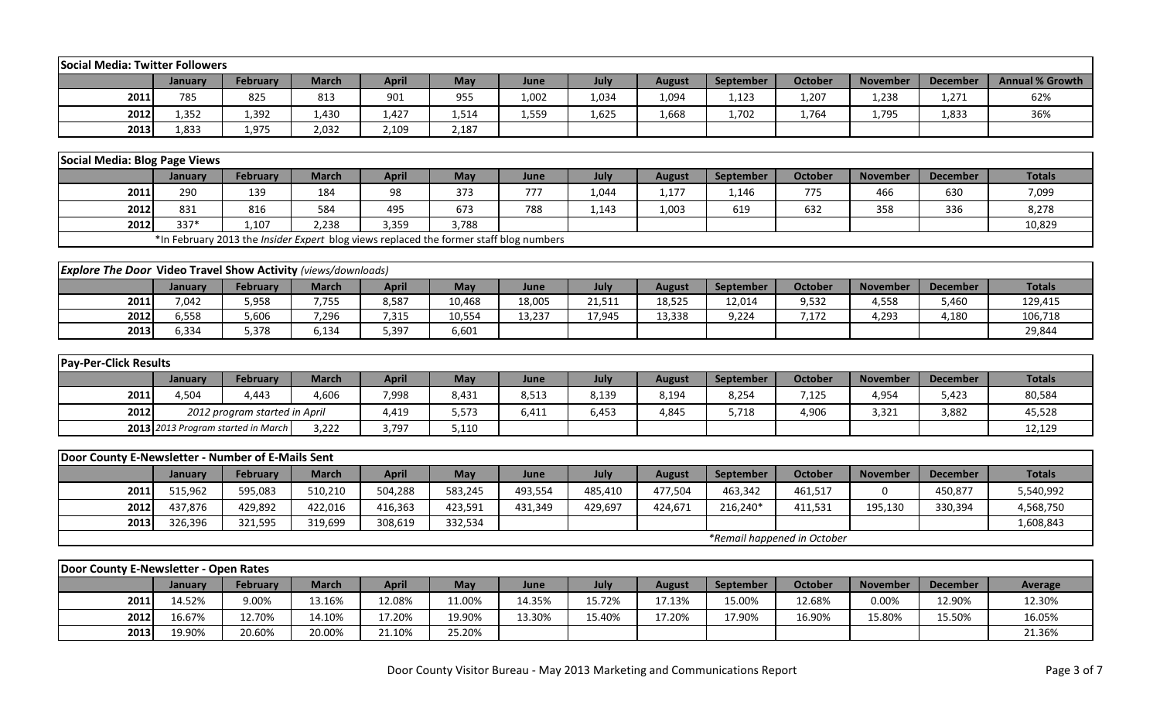| Social Media: Twitter Followers                                      |                    |                                                                                        |                    |              |                    |         |         |               |                  |                             |                 |                 |                        |
|----------------------------------------------------------------------|--------------------|----------------------------------------------------------------------------------------|--------------------|--------------|--------------------|---------|---------|---------------|------------------|-----------------------------|-----------------|-----------------|------------------------|
|                                                                      | January            | <b>February</b>                                                                        | <b>March</b>       | <b>April</b> | May                | June    | July    | <b>August</b> | <b>September</b> | <b>October</b>              | <b>November</b> | <b>December</b> | <b>Annual % Growth</b> |
| 2011                                                                 | 785                | 825                                                                                    | 813                | 901          | 955                | 1,002   | 1,034   | 1,094         | 1,123            | 1,207                       | 1,238           | 1,271           | 62%                    |
| 2012                                                                 | 1,352              | 1,392                                                                                  | 1,430              | 1,427        | 1,514              | 1,559   | 1,625   | 1,668         | 1,702            | 1,764                       | 1,795           | 1,833           | 36%                    |
| 2013                                                                 | 1,833              | 1,975                                                                                  | 2,032              | 2,109        | 2,187              |         |         |               |                  |                             |                 |                 |                        |
|                                                                      |                    |                                                                                        |                    |              |                    |         |         |               |                  |                             |                 |                 |                        |
| Social Media: Blog Page Views                                        |                    |                                                                                        |                    |              |                    |         |         |               |                  |                             |                 |                 |                        |
|                                                                      | January            | <b>February</b>                                                                        | <b>March</b>       | <b>April</b> | May                | June    | July    | <b>August</b> | September        | <b>October</b>              | <b>November</b> | <b>December</b> | <b>Totals</b>          |
| 2011                                                                 | 290                | 139                                                                                    | 184                | 98           | 373                | 777     | 1,044   | 1,177         | 1,146            | 775                         | 466             | 630             | 7,099                  |
| 2012                                                                 | 831                | 816                                                                                    | 584                | 495          | 673                | 788     | 1,143   | 1,003         | 619              | 632                         | 358             | 336             | 8,278                  |
| 2012                                                                 | $337*$             | 1,107                                                                                  | 2,238              | 3,359        | 3,788              |         |         |               |                  |                             |                 |                 | 10,829                 |
|                                                                      |                    | *In February 2013 the Insider Expert blog views replaced the former staff blog numbers |                    |              |                    |         |         |               |                  |                             |                 |                 |                        |
|                                                                      |                    |                                                                                        |                    |              |                    |         |         |               |                  |                             |                 |                 |                        |
| <b>Explore The Door Video Travel Show Activity (views/downloads)</b> |                    |                                                                                        |                    |              |                    |         |         |               |                  |                             |                 |                 |                        |
|                                                                      | January            | February                                                                               | <b>March</b>       | <b>April</b> | May                | June    | July    | <b>August</b> | September        | <b>October</b>              | <b>November</b> | <b>December</b> | <b>Totals</b>          |
| 2011                                                                 | 7,042              | 5,958                                                                                  | 7,755              | 8,587        | 10,468             | 18,005  | 21,511  | 18,525        | 12,014           | 9,532                       | 4,558           | 5,460           | 129,415                |
| 2012                                                                 | 6,558              | 5,606                                                                                  | 7,296              | 7,315        | 10,554             | 13,237  | 17,945  | 13,338        | 9,224            | 7,172                       | 4,293           | 4,180           | 106,718                |
| 2013                                                                 | 6,334              | 5,378                                                                                  | 6,134              | 5,397        | 6,601              |         |         |               |                  |                             |                 |                 | 29,844                 |
|                                                                      |                    |                                                                                        |                    |              |                    |         |         |               |                  |                             |                 |                 |                        |
| <b>Pay-Per-Click Results</b>                                         |                    |                                                                                        |                    |              |                    |         |         |               |                  |                             |                 |                 |                        |
|                                                                      | January            | <b>February</b>                                                                        | <b>March</b>       | <b>April</b> | May                | June    | July    | <b>August</b> | September        | <b>October</b>              | <b>November</b> | <b>December</b> | <b>Totals</b>          |
| 2011                                                                 | 4,504              | 4,443                                                                                  | 4,606              | 7,998        | 8,431              | 8,513   | 8,139   | 8,194         | 8,254            | 7,125                       | 4,954           | 5,423           | 80,584                 |
| 2012                                                                 |                    | 2012 program started in April                                                          |                    | 4,419        | 5,573              | 6,411   | 6,453   | 4,845         | 5,718            | 4,906                       | 3,321           | 3,882           | 45,528                 |
|                                                                      |                    | 2013 2013 Program started in March                                                     | 3,222              | 3,797        | 5,110              |         |         |               |                  |                             |                 |                 | 12,129                 |
| Door County E-Newsletter - Number of E-Mails Sent                    |                    |                                                                                        |                    |              |                    |         |         |               |                  |                             |                 |                 |                        |
|                                                                      | January            | <b>February</b>                                                                        | <b>March</b>       | <b>April</b> | May                | June    | July    | <b>August</b> | September        | <b>October</b>              | <b>November</b> | <b>December</b> | <b>Totals</b>          |
| 2011                                                                 | 515,962            | 595,083                                                                                | 510,210            | 504,288      | 583,245            | 493,554 | 485,410 | 477,504       | 463,342          | 461,517                     | 0               | 450,877         | 5,540,992              |
| 2012                                                                 |                    |                                                                                        |                    |              |                    |         |         |               |                  |                             |                 |                 |                        |
| 2013                                                                 | 437,876<br>326,396 | 429,892                                                                                | 422,016<br>319,699 | 416,363      | 423,591<br>332,534 | 431,349 | 429,697 | 424,671       | 216,240*         | 411,531                     | 195,130         | 330,394         | 4,568,750              |
|                                                                      |                    | 321,595                                                                                |                    | 308,619      |                    |         |         |               |                  | *Remail happened in October |                 |                 | 1,608,843              |
|                                                                      |                    |                                                                                        |                    |              |                    |         |         |               |                  |                             |                 |                 |                        |
| Door County E-Newsletter - Open Rates                                |                    |                                                                                        |                    |              |                    |         |         |               |                  |                             |                 |                 |                        |
|                                                                      | January            | <b>February</b>                                                                        | <b>March</b>       | <b>April</b> | May                | June    | July    | <b>August</b> | September        | <b>October</b>              | <b>November</b> | <b>December</b> | Average                |
| 2011                                                                 | 14.52%             | 9.00%                                                                                  | 13.16%             | 12.08%       | 11.00%             | 14.35%  | 15.72%  | 17.13%        | 15.00%           | 12.68%                      | 0.00%           | 12.90%          | 12.30%                 |
| 2012                                                                 | 16.67%             | 12.70%                                                                                 | 14.10%             | 17.20%       | 19.90%             | 13.30%  | 15.40%  | 17.20%        | 17.90%           | 16.90%                      | 15.80%          | 15.50%          | 16.05%                 |
| 2013                                                                 | 19.90%             | 20.60%                                                                                 | 20.00%             | 21.10%       | 25.20%             |         |         |               |                  |                             |                 |                 | 21.36%                 |
|                                                                      |                    |                                                                                        |                    |              |                    |         |         |               |                  |                             |                 |                 |                        |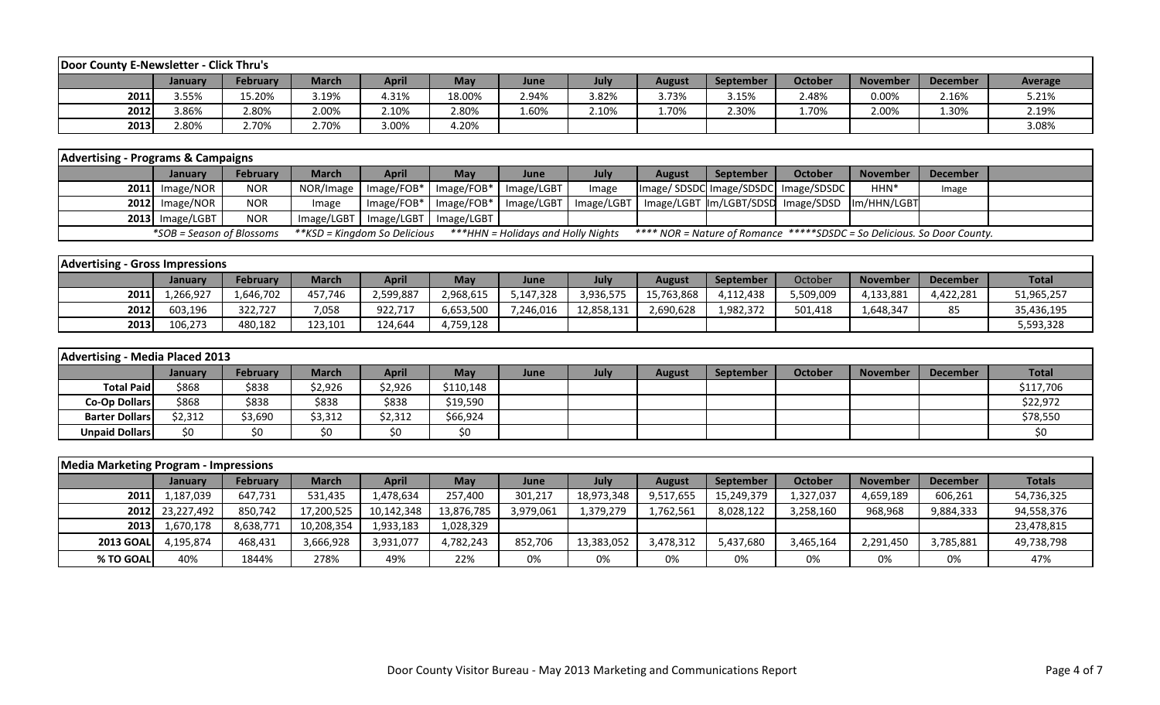| Door County E-Newsletter - Click Thru's |         |                 |              |       |            |       |       |               |                  |                |                 |                 |         |
|-----------------------------------------|---------|-----------------|--------------|-------|------------|-------|-------|---------------|------------------|----------------|-----------------|-----------------|---------|
|                                         | Januarv | <b>February</b> | <b>March</b> | April | <b>May</b> | June  | July  | <b>August</b> | <b>September</b> | <b>October</b> | <b>November</b> | <b>December</b> | Average |
| 2011                                    | 3.55%   | 15.20%          | 3.19%        | 4.31% | 18.00%     | 2.94% | 3.82% | 3.73%         | 3.15%            | 2.48%          | 0.00%           | 2.16%           | 5.21%   |
| 2012                                    | 3.86%   | 2.80%           | 2.00%        | 2.10% | 2.80%      | 1.60% | 2.10% | 1.70%         | 2.30%            | 1.70%          | 2.00%           | 1.30%           | 2.19%   |
| 2013                                    | 2.80%   | 2.70%           | 2.70%        | 3.00% | 4.20%      |       |       |               |                  |                |                 |                 | 3.08%   |

| <b>Advertising - Programs &amp; Campaigns</b> |                           |                 |                              |              |                                                  |                                    |       |               |           |                                                                         |                  |          |  |
|-----------------------------------------------|---------------------------|-----------------|------------------------------|--------------|--------------------------------------------------|------------------------------------|-------|---------------|-----------|-------------------------------------------------------------------------|------------------|----------|--|
|                                               | <b>January</b>            | <b>February</b> | March                        | <b>April</b> | Mav                                              | June                               | July  | <b>August</b> | September | October                                                                 | <b>November</b>  | December |  |
|                                               | $2011$ Image/NOR          | <b>NOR</b>      |                              |              | NOR/Image   Image/FOB*   Image/FOB*   Image/LGBT |                                    | Image |               |           | Image/SDSDC Image/SDSDC Image/SDSDC                                     | HHN <sup>*</sup> | Image    |  |
|                                               | $2012$ Image/NOR          | <b>NOR</b>      | Image                        |              | Image/FOB*   Image/FOB*   Image/LGBT             |                                    |       |               |           | Image/LGBT   Image/LGBT  Im/LGBT/SDSD   Image/SDSD  Im/HHN/LGBT         |                  |          |  |
|                                               | $2013$ Image/LGBT         | <b>NOR</b>      |                              |              | Image/LGBT   Image/LGBT   Image/LGBT             |                                    |       |               |           |                                                                         |                  |          |  |
|                                               | *SOB = Season of Blossoms |                 | **KSD = Kingdom So Delicious |              |                                                  | ***HHN = Holidays and Holly Nights |       |               |           | **** NOR = Nature of Romance *****SDSDC = So Delicious. So Door County. |                  |          |  |

| <b>Advertising - Gross Impressions</b> |                |                 |         |           |           |           |            |            |                  |           |                 |                 |              |
|----------------------------------------|----------------|-----------------|---------|-----------|-----------|-----------|------------|------------|------------------|-----------|-----------------|-----------------|--------------|
|                                        | <b>January</b> | <b>February</b> | March   | April     | May       | June      | July       | August     | <b>September</b> | October   | <b>November</b> | <b>December</b> | <b>Total</b> |
| 2011                                   | ,266,927       | 1,646,702       | 457,746 | 2,599,887 | 2,968,615 | 5,147,328 | 3,936,575  | 15,763,868 | 4,112,438        | 5,509,009 | 4,133,881       | 4,422,281       | 51,965,257   |
| 2012                                   | 603,196        | 322.727         | 7,058   | 922,717   | 6,653,500 | 7,246,016 | 12,858,131 | 2,690,628  | 1,982,372        | 501,418   | ,648,347        | 85              | 35,436,195   |
| 2013                                   | 106,273        | 480,182         | 123,101 | 124,644   | 4,759,128 |           |            |            |                  |           |                 |                 | 5,593,328    |

| Advertising - Media Placed 2013 |                |          |         |              |            |      |      |               |                  |         |          |                 |              |
|---------------------------------|----------------|----------|---------|--------------|------------|------|------|---------------|------------------|---------|----------|-----------------|--------------|
|                                 | <b>January</b> | February | March   | <b>April</b> | <b>May</b> | June | July | <b>August</b> | <b>September</b> | October | November | <b>December</b> | <b>Total</b> |
| <b>Total Paid</b>               | \$868          | \$838    | 2,926خ  | \$2,926      | \$110,148  |      |      |               |                  |         |          |                 | \$117,706    |
| <b>Co-Op Dollars</b>            | \$868          | \$838    | \$838   | \$838        | \$19,590   |      |      |               |                  |         |          |                 | \$22,972     |
| <b>Barter Dollars</b>           | \$2,312        | \$3,690  | \$3,312 | \$2,312      | \$66,924   |      |      |               |                  |         |          |                 | \$78,550     |
| <b>Unpaid Dollars</b>           | \$0            | \$0      | \$0     | \$0          | \$0        |      |      |               |                  |         |          |                 | \$0          |

| <b>Media Marketing Program - Impressions</b> |                 |           |              |              |            |           |            |               |            |           |                 |                 |               |
|----------------------------------------------|-----------------|-----------|--------------|--------------|------------|-----------|------------|---------------|------------|-----------|-----------------|-----------------|---------------|
|                                              | <b>January</b>  | February  | <b>March</b> | <b>April</b> | May        | June      | July       | <b>August</b> | September  | October   | <b>November</b> | <b>December</b> | <b>Totals</b> |
| 2011                                         | 1,187,039       | 647,731   | 531,435      | 1,478,634    | 257,400    | 301,217   | 18,973,348 | 9,517,655     | 15,249,379 | 1,327,037 | 4,659,189       | 606,261         | 54,736,325    |
|                                              | 2012 23,227,492 | 850,742   | 17,200,525   | 10,142,348   | 13,876,785 | 3,979,061 | 1,379,279  | 1,762,561     | 8,028,122  | 3,258,160 | 968,968         | 9,884,333       | 94,558,376    |
| 2013                                         | 1,670,178       | 8,638,771 | 10,208,354   | 1,933,183    | 1,028,329  |           |            |               |            |           |                 |                 | 23,478,815    |
| <b>2013 GOAL</b>                             | 4.195.874       | 468,431   | 3,666,928    | 3,931,077    | 4,782,243  | 852.706   | 13,383,052 | 3,478,312     | 5,437,680  | 3,465,164 | 2,291,450       | 3,785,881       | 49,738,798    |
| % TO GOAL                                    | 40%             | 1844%     | 278%         | 49%          | 22%        | 0%        | 0%         | 0%            | 0%         | 0%        | 0%              | 0%              | 47%           |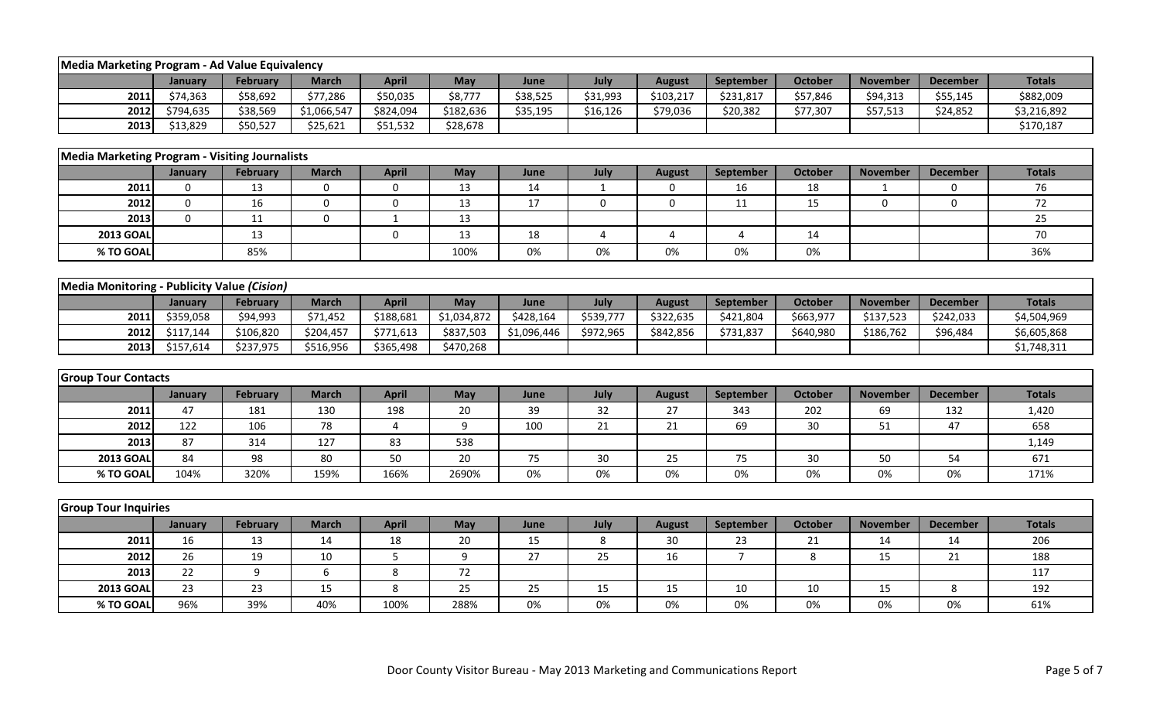| Media Marketing Program - Ad Value Equivalency        |             |                 |              |                |                  |             |              |               |                |                |                 |                 |               |
|-------------------------------------------------------|-------------|-----------------|--------------|----------------|------------------|-------------|--------------|---------------|----------------|----------------|-----------------|-----------------|---------------|
|                                                       | January     | <b>February</b> | <b>March</b> | <b>April</b>   | May              | June        | July         | <b>August</b> | September      | <b>October</b> | <b>November</b> | <b>December</b> | <b>Totals</b> |
| 2011                                                  | \$74,363    | \$58,692        | \$77,286     | \$50,035       | \$8,777          | \$38,525    | \$31,993     | \$103,217     | \$231,817      | \$57,846       | \$94,313        | \$55,145        | \$882,009     |
| 2012                                                  | \$794,635   | \$38,569        | \$1,066,547  | \$824,094      | \$182,636        | \$35,195    | \$16,126     | \$79,036      | \$20,382       | \$77,307       | \$57,513        | \$24,852        | \$3,216,892   |
| 2013                                                  | \$13,829    | \$50,527        | \$25,621     | \$51,532       | \$28,678         |             |              |               |                |                |                 |                 | \$170,187     |
|                                                       |             |                 |              |                |                  |             |              |               |                |                |                 |                 |               |
| <b>Media Marketing Program - Visiting Journalists</b> |             |                 |              |                |                  |             |              |               |                |                |                 |                 |               |
|                                                       | January     | <b>February</b> | <b>March</b> | <b>April</b>   | May              | June        | July         | <b>August</b> | September      | <b>October</b> | <b>November</b> | <b>December</b> | <b>Totals</b> |
| 2011                                                  | $\mathbf 0$ | 13              | $\mathbf 0$  | 0              | 13               | 14          | $\mathbf{1}$ | 0             | 16             | 18             | $\mathbf{1}$    | 0               | 76            |
| 2012                                                  | $\mathbf 0$ | 16              | $\mathbf 0$  | $\mathbf 0$    | 13               | 17          | 0            | 0             | 11             | 15             | $\Omega$        | $\mathbf{0}$    | 72            |
| 2013                                                  | $\Omega$    | 11              | $\mathbf 0$  | $1\,$          | 13               |             |              |               |                |                |                 |                 | 25            |
| <b>2013 GOAL</b>                                      |             | 13              |              | 0              | 13               | 18          | 4            | 4             | 4              | 14             |                 |                 | 70            |
| % TO GOAL                                             |             | 85%             |              |                | 100%             | 0%          | 0%           | 0%            | 0%             | 0%             |                 |                 | 36%           |
|                                                       |             |                 |              |                |                  |             |              |               |                |                |                 |                 |               |
| Media Monitoring - Publicity Value (Cision)           |             |                 |              |                |                  |             |              |               |                |                |                 |                 |               |
|                                                       | January     | <b>February</b> | <b>March</b> | <b>April</b>   | May              | June        | July         | <b>August</b> | September      | October        | <b>November</b> | <b>December</b> | <b>Totals</b> |
| 2011                                                  | \$359,058   | \$94,993        | \$71,452     | \$188,681      | \$1,034,872      | \$428,164   | \$539,777    | \$322,635     | \$421,804      | \$663,977      | \$137,523       | \$242,033       | \$4,504,969   |
| 2012                                                  | \$117,144   | \$106,820       | \$204,457    | \$771,613      | \$837,503        | \$1,096,446 | \$972,965    | \$842,856     | \$731,837      | \$640,980      | \$186,762       | \$96,484        | \$6,605,868   |
| 2013                                                  | \$157,614   | \$237,975       | \$516,956    | \$365,498      | \$470,268        |             |              |               |                |                |                 |                 | \$1,748,311   |
|                                                       |             |                 |              |                |                  |             |              |               |                |                |                 |                 |               |
| <b>Group Tour Contacts</b>                            |             |                 |              |                |                  |             |              |               |                |                |                 |                 |               |
|                                                       | January     | <b>February</b> | <b>March</b> | <b>April</b>   | May              | June        | July         | <b>August</b> | September      | <b>October</b> | <b>November</b> | <b>December</b> | <b>Totals</b> |
| 2011                                                  | 47          | 181             | 130          | 198            | 20               | 39          | 32           | 27            | 343            | 202            | 69              | 132             | 1,420         |
| 2012                                                  | 122         | 106             | 78           | $\overline{4}$ | 9                | 100         | 21           | 21            | 69             | 30             | 51              | 47              | 658           |
| 2013                                                  | 87          | 314             | 127          | 83             | 538              |             |              |               |                |                |                 |                 | 1,149         |
| <b>2013 GOAL</b>                                      | 84          | 98              | 80           | 50             | 20               | 75          | 30           | 25            | 75             | 30             | 50              | 54              | 671           |
| % TO GOAL                                             | 104%        | 320%            | 159%         | 166%           | 2690%            | 0%          | 0%           | 0%            | 0%             | 0%             | 0%              | 0%              | 171%          |
|                                                       |             |                 |              |                |                  |             |              |               |                |                |                 |                 |               |
| <b>Group Tour Inquiries</b>                           |             |                 |              |                |                  |             |              |               |                |                |                 |                 |               |
|                                                       | January     | February        | <b>March</b> | <b>April</b>   | May              | June        | July         | <b>August</b> | September      | <b>October</b> | <b>November</b> | <b>December</b> | <b>Totals</b> |
| 2011                                                  | 16          | 13              | 14           | 18             | 20               | 15          | 8            | 30            | 23             | 21             | 14              | 14              | 206           |
| 2012                                                  | 26          | 19              | 10           | 5              | $\boldsymbol{9}$ | 27          | 25           | 16            | $\overline{7}$ | 8              | 15              | 21              | 188           |
| 2013                                                  | 22          | 9               | 6            | 8              | 72               |             |              |               |                |                |                 |                 | 117           |
| <b>2013 GOAI</b>                                      | 23          | 23              | 15           | 8              | 25               | 25          | 15           | 15            | 10             | 10             | 15              | 8               | 192           |
| % TO GOAL                                             | 96%         | 39%             | 40%          | 100%           | 288%             | 0%          | 0%           | 0%            | 0%             | 0%             | 0%              | 0%              | 61%           |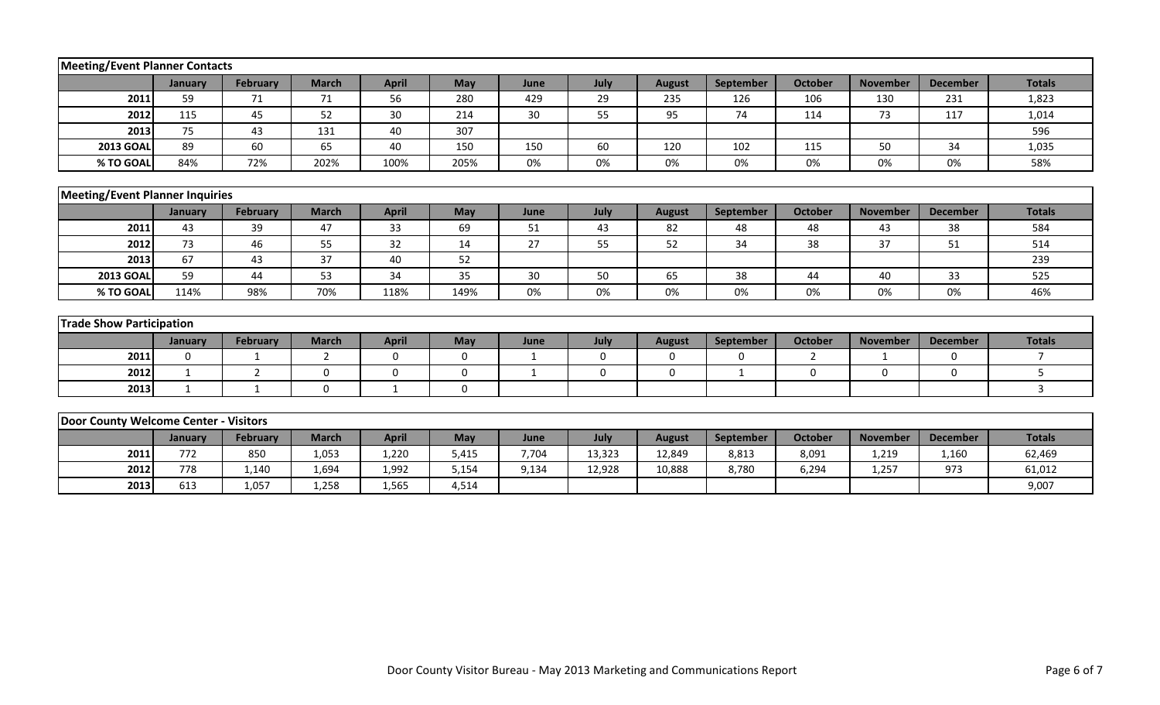| Meeting/Event Planner Contacts         |             |                 |              |              |             |              |             |               |             |                |                 |                 |                |
|----------------------------------------|-------------|-----------------|--------------|--------------|-------------|--------------|-------------|---------------|-------------|----------------|-----------------|-----------------|----------------|
|                                        | January     | <b>February</b> | <b>March</b> | <b>April</b> | May         | June         | July        | <b>August</b> | September   | <b>October</b> | <b>November</b> | <b>December</b> | <b>Totals</b>  |
| 2011                                   | 59          | 71              | 71           | 56           | 280         | 429          | 29          | 235           | 126         | 106            | 130             | 231             | 1,823          |
| 2012                                   | 115         | 45              | 52           | 30           | 214         | 30           | 55          | 95            | 74          | 114            | 73              | 117             | 1,014          |
| 2013                                   | 75          | 43              | 131          | 40           | 307         |              |             |               |             |                |                 |                 | 596            |
| <b>2013 GOAL</b>                       | 89          | 60              | 65           | 40           | 150         | 150          | 60          | 120           | 102         | 115            | 50              | 34              | 1,035          |
| % TO GOAL                              | 84%         | 72%             | 202%         | 100%         | 205%        | 0%           | 0%          | 0%            | 0%          | 0%             | 0%              | 0%              | 58%            |
|                                        |             |                 |              |              |             |              |             |               |             |                |                 |                 |                |
| <b>Meeting/Event Planner Inquiries</b> |             |                 |              |              |             |              |             |               |             |                |                 |                 |                |
|                                        | January     | February        | <b>March</b> | <b>April</b> | May         | June         | July        | <b>August</b> | September   | <b>October</b> | <b>November</b> | <b>December</b> | <b>Totals</b>  |
| 2011                                   | 43          | 39              | 47           | 33           | 69          | 51           | 43          | 82            | 48          | 48             | 43              | 38              | 584            |
| 2012                                   | 73          | 46              | 55           | 32           | 14          | 27           | 55          | 52            | 34          | 38             | 37              | 51              | 514            |
| 2013                                   | 67          | 43              | 37           | 40           | 52          |              |             |               |             |                |                 |                 | 239            |
| <b>2013 GOAL</b>                       | 59          | 44              | 53           | 34           | 35          | 30           | 50          | 65            | 38          | 44             | 40              | 33              | 525            |
| % TO GOAL                              | 114%        | 98%             | 70%          | 118%         | 149%        | 0%           | 0%          | 0%            | 0%          | 0%             | 0%              | 0%              | 46%            |
|                                        |             |                 |              |              |             |              |             |               |             |                |                 |                 |                |
| <b>Trade Show Participation</b>        |             |                 |              |              |             |              |             |               |             |                |                 |                 |                |
|                                        | January     | <b>February</b> | <b>March</b> | <b>April</b> | May         | June         | July        | <b>August</b> | September   | <b>October</b> | <b>November</b> | <b>December</b> | <b>Totals</b>  |
| 2011                                   | $\mathbf 0$ | $\mathbf{1}$    | 2            | $\mathbf 0$  | $\mathbf 0$ | $\mathbf{1}$ | $\mathbf 0$ | $\mathbf 0$   | $\mathbf 0$ | $\overline{2}$ | $\mathbf{1}$    | $\mathbf 0$     | $\overline{7}$ |
| 2012                                   | 1           | 2               | $\Omega$     | $\mathbf 0$  | $\mathbf 0$ | $\mathbf{1}$ | 0           | $\mathbf 0$   | 1           | 0              | $\Omega$        | $\Omega$        | 5              |
| 2013                                   | 1           | $\mathbf{1}$    | $\mathbf 0$  | 1            | 0           |              |             |               |             |                |                 |                 | $\mathbf{3}$   |
|                                        |             |                 |              |              |             |              |             |               |             |                |                 |                 |                |
| Door County Welcome Center - Visitors  |             |                 |              |              |             |              |             |               |             |                |                 |                 |                |
|                                        | January     | <b>February</b> | <b>March</b> | <b>April</b> | May         | June         | July        | <b>August</b> | September   | <b>October</b> | <b>November</b> | <b>December</b> | <b>Totals</b>  |
| 2011                                   | 772         | 850             | 1,053        | 1,220        | 5,415       | 7,704        | 13,323      | 12,849        | 8,813       | 8,091          | 1,219           | 1,160           | 62,469         |
| 2012                                   | 778         | 1,140           | 1,694        | 1,992        | 5,154       | 9,134        | 12,928      | 10,888        | 8,780       | 6,294          | 1,257           | 973             | 61,012         |
| 2013                                   | 613         | 1,057           | 1,258        | 1,565        | 4,514       |              |             |               |             |                |                 |                 | 9,007          |